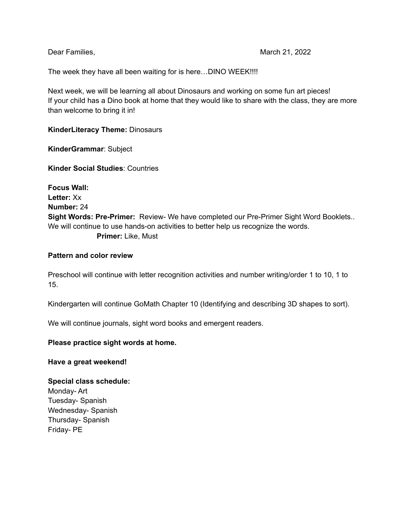The week they have all been waiting for is here…DINO WEEK!!!!

Next week, we will be learning all about Dinosaurs and working on some fun art pieces! If your child has a Dino book at home that they would like to share with the class, they are more than welcome to bring it in!

### **KinderLiteracy Theme:** Dinosaurs

**KinderGrammar**: Subject

**Kinder Social Studies**: Countries

**Focus Wall: Letter:** Xx **Number:** 24 **Sight Words: Pre-Primer:** Review- We have completed our Pre-Primer Sight Word Booklets.. We will continue to use hands-on activities to better help us recognize the words. **Primer:** Like, Must

### **Pattern and color review**

Preschool will continue with letter recognition activities and number writing/order 1 to 10, 1 to 15.

Kindergarten will continue GoMath Chapter 10 (Identifying and describing 3D shapes to sort).

We will continue journals, sight word books and emergent readers.

### **Please practice sight words at home.**

### **Have a great weekend!**

# **Special class schedule:**

Monday- Art Tuesday- Spanish Wednesday- Spanish Thursday- Spanish Friday- PE